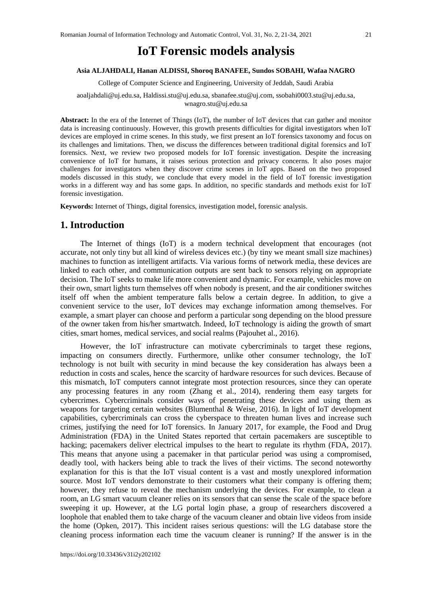# **IoT Forensic models analysis**

#### **Asia ALJAHDALI, Hanan ALDISSI, Shoroq BANAFEE, Sundos SOBAHI, Wafaa NAGRO**

College of Computer Science and Engineering, University of Jeddah, Saudi Arabia

[aoaljahdali@uj.edu.sa,](mailto:aoaljahdali@uj.edu.sa) [Haldissi.stu@uj.edu.sa,](mailto:Haldissi.stu@uj.edu.sa) [sbanafee.stu@uj.com,](mailto:sbanafee.stu@uj.com) [ssobahi0003.stu@uj.edu.sa,](mailto:ssobahi0003.stu@uj.edu.sa) wnagro.stu@uj.edu.sa

**Abstract:** In the era of the Internet of Things (IoT), the number of IoT devices that can gather and monitor data is increasing continuously. However, this growth presents difficulties for digital investigators when IoT devices are employed in crime scenes. In this study, we first present an IoT forensics taxonomy and focus on its challenges and limitations. Then, we discuss the differences between traditional digital forensics and IoT forensics. Next, we review two proposed models for IoT forensic investigation. Despite the increasing convenience of IoT for humans, it raises serious protection and privacy concerns. It also poses major challenges for investigators when they discover crime scenes in IoT apps. Based on the two proposed models discussed in this study, we conclude that every model in the field of IoT forensic investigation works in a different way and has some gaps. In addition, no specific standards and methods exist for IoT forensic investigation.

**Keywords:** Internet of Things, digital forensics, investigation model, forensic analysis.

#### **1. Introduction**

The Internet of things (IoT) is a modern technical development that encourages (not accurate, not only tiny but all kind of wireless devices etc.) (by tiny we meant small size machines) machines to function as intelligent artifacts. Via various forms of network media, these devices are linked to each other, and communication outputs are sent back to sensors relying on appropriate decision. The IoT seeks to make life more convenient and dynamic. For example, vehicles move on their own, smart lights turn themselves off when nobody is present, and the air conditioner switches itself off when the ambient temperature falls below a certain degree. In addition, to give a convenient service to the user, IoT devices may exchange information among themselves. For example, a smart player can choose and perform a particular song depending on the blood pressure of the owner taken from his/her smartwatch. Indeed, IoT technology is aiding the growth of smart cities, smart homes, medical services, and social realms (Pajouhet al., 2016).

However, the IoT infrastructure can motivate cybercriminals to target these regions, impacting on consumers directly. Furthermore, unlike other consumer technology, the IoT technology is not built with security in mind because the key consideration has always been a reduction in costs and scales, hence the scarcity of hardware resources for such devices. Because of this mismatch, IoT computers cannot integrate most protection resources, since they can operate any processing features in any room (Zhang et al., 2014), rendering them easy targets for cybercrimes. Cybercriminals consider ways of penetrating these devices and using them as weapons for targeting certain websites (Blumenthal & Weise, 2016). In light of IoT development capabilities, cybercriminals can cross the cyberspace to threaten human lives and increase such crimes, justifying the need for IoT forensics. In January 2017, for example, the Food and Drug Administration (FDA) in the United States reported that certain pacemakers are susceptible to hacking; pacemakers deliver electrical impulses to the heart to regulate its rhythm (FDA, 2017). This means that anyone using a pacemaker in that particular period was using a compromised, deadly tool, with hackers being able to track the lives of their victims. The second noteworthy explanation for this is that the IoT visual content is a vast and mostly unexplored information source. Most IoT vendors demonstrate to their customers what their company is offering them; however, they refuse to reveal the mechanism underlying the devices. For example, to clean a room, an LG smart vacuum cleaner relies on its sensors that can sense the scale of the space before sweeping it up. However, at the LG portal login phase, a group of researchers discovered a loophole that enabled them to take charge of the vacuum cleaner and obtain live videos from inside the home (Opken, 2017). This incident raises serious questions: will the LG database store the cleaning process information each time the vacuum cleaner is running? If the answer is in the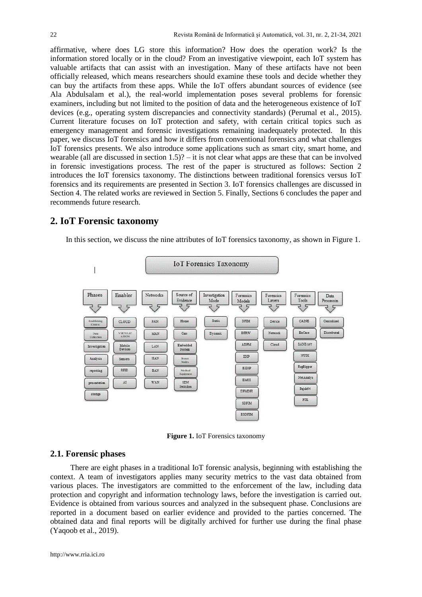affirmative, where does LG store this information? How does the operation work? Is the information stored locally or in the cloud? From an investigative viewpoint, each IoT system has valuable artifacts that can assist with an investigation. Many of these artifacts have not been officially released, which means researchers should examine these tools and decide whether they can buy the artifacts from these apps. While the IoT offers abundant sources of evidence (see Ala Abdulsalam et al.), the real-world implementation poses several problems for forensic examiners, including but not limited to the position of data and the heterogeneous existence of IoT devices (e.g., operating system discrepancies and connectivity standards) (Perumal et al., 2015). Current literature focuses on IoT protection and safety, with certain critical topics such as emergency management and forensic investigations remaining inadequately protected. In this paper, we discuss IoT forensics and how it differs from conventional forensics and what challenges IoT forensics presents. We also introduce some applications such as smart city, smart home, and wearable (all are discussed in section  $1.5$ )? – it is not clear what apps are these that can be involved in forensic investigations process. The rest of the paper is structured as follows: Section 2 introduces the IoT forensics taxonomy. The distinctions between traditional forensics versus IoT forensics and its requirements are presented in Section 3. IoT forensics challenges are discussed in Section 4. The related works are reviewed in Section 5. Finally, Sections 6 concludes the paper and recommends future research.

# **2. IoT Forensic taxonomy**

In this section, we discuss the nine attributes of IoT forensics taxonomy, as shown in Figure 1.



**Figure 1.** IoT Forensics taxonomy

#### **2.1. Forensic phases**

There are eight phases in a traditional IoT forensic analysis, beginning with establishing the context. A team of investigators applies many security metrics to the vast data obtained from various places. The investigators are committed to the enforcement of the law, including data protection and copyright and information technology laws, before the investigation is carried out. Evidence is obtained from various sources and analyzed in the subsequent phase. Conclusions are reported in a document based on earlier evidence and provided to the parties concerned. The obtained data and final reports will be digitally archived for further use during the final phase (Yaqoob et al., 2019).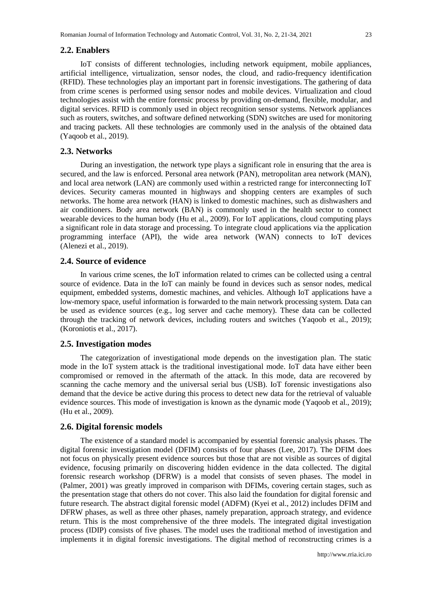#### **2.2. Enablers**

IoT consists of different technologies, including network equipment, mobile appliances, artificial intelligence, virtualization, sensor nodes, the cloud, and radio-frequency identification (RFID). These technologies play an important part in forensic investigations. The gathering of data from crime scenes is performed using sensor nodes and mobile devices. Virtualization and cloud technologies assist with the entire forensic process by providing on-demand, flexible, modular, and digital services. RFID is commonly used in object recognition sensor systems. Network appliances such as routers, switches, and software defined networking (SDN) switches are used for monitoring and tracing packets. All these technologies are commonly used in the analysis of the obtained data (Yaqoob et al., 2019).

#### **2.3. Networks**

During an investigation, the network type plays a significant role in ensuring that the area is secured, and the law is enforced. Personal area network (PAN), metropolitan area network (MAN), and local area network (LAN) are commonly used within a restricted range for interconnecting IoT devices. Security cameras mounted in highways and shopping centers are examples of such networks. The home area network (HAN) is linked to domestic machines, such as dishwashers and air conditioners. Body area network (BAN) is commonly used in the health sector to connect wearable devices to the human body (Hu et al., 2009). For IoT applications, cloud computing plays a significant role in data storage and processing. To integrate cloud applications via the application programming interface (API), the wide area network (WAN) connects to IoT devices (Alenezi et al., 2019).

# **2.4. Source of evidence**

In various crime scenes, the IoT information related to crimes can be collected using a central source of evidence. Data in the IoT can mainly be found in devices such as sensor nodes, medical equipment, embedded systems, domestic machines, and vehicles. Although IoT applications have a low-memory space, useful information is forwarded to the main network processing system. Data can be used as evidence sources (e.g., log server and cache memory). These data can be collected through the tracking of network devices, including routers and switches (Yaqoob et al., 2019); (Koroniotis et al., 2017).

#### **2.5. Investigation modes**

The categorization of investigational mode depends on the investigation plan. The static mode in the IoT system attack is the traditional investigational mode. IoT data have either been compromised or removed in the aftermath of the attack. In this mode, data are recovered by scanning the cache memory and the universal serial bus (USB). IoT forensic investigations also demand that the device be active during this process to detect new data for the retrieval of valuable evidence sources. This mode of investigation is known as the dynamic mode (Yaqoob et al., 2019); (Hu et al., 2009).

#### **2.6. Digital forensic models**

The existence of a standard model is accompanied by essential forensic analysis phases. The digital forensic investigation model (DFIM) consists of four phases (Lee, 2017). The DFIM does not focus on physically present evidence sources but those that are not visible as sources of digital evidence, focusing primarily on discovering hidden evidence in the data collected. The digital forensic research workshop (DFRW) is a model that consists of seven phases. The model in (Palmer, 2001) was greatly improved in comparison with DFIMs, covering certain stages, such as the presentation stage that others do not cover. This also laid the foundation for digital forensic and future research. The abstract digital forensic model (ADFM) (Kyei et al., 2012) includes DFIM and DFRW phases, as well as three other phases, namely preparation, approach strategy, and evidence return. This is the most comprehensive of the three models. The integrated digital investigation process (IDIP) consists of five phases. The model uses the traditional method of investigation and implements it in digital forensic investigations. The digital method of reconstructing crimes is a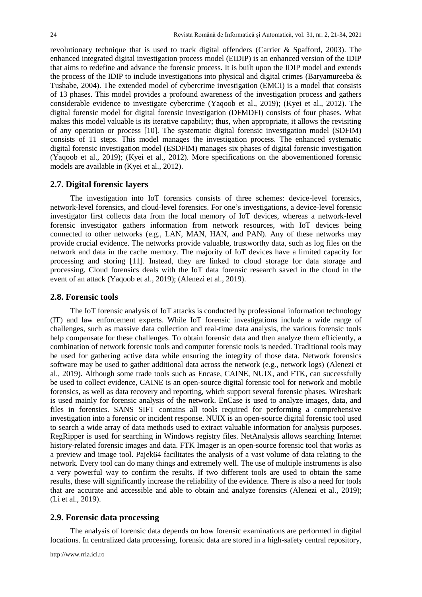revolutionary technique that is used to track digital offenders (Carrier & Spafford, 2003). The enhanced integrated digital investigation process model (EIDIP) is an enhanced version of the IDIP that aims to redefine and advance the forensic process. It is built upon the IDIP model and extends the process of the IDIP to include investigations into physical and digital crimes (Baryamureeba  $\&$ Tushabe, 2004). The extended model of cybercrime investigation (EMCI) is a model that consists of 13 phases. This model provides a profound awareness of the investigation process and gathers considerable evidence to investigate cybercrime (Yaqoob et al., 2019); (Kyei et al., 2012). The digital forensic model for digital forensic investigation (DFMDFI) consists of four phases. What makes this model valuable is its iterative capability; thus, when appropriate, it allows the revisiting of any operation or process [10]. The systematic digital forensic investigation model (SDFIM) consists of 11 steps. This model manages the investigation process. The enhanced systematic digital forensic investigation model (ESDFIM) manages six phases of digital forensic investigation (Yaqoob et al., 2019); (Kyei et al., 2012). More specifications on the abovementioned forensic models are available in (Kyei et al., 2012).

#### **2.7. Digital forensic layers**

The investigation into IoT forensics consists of three schemes: device-level forensics, network-level forensics, and cloud-level forensics. For one's investigations, a device-level forensic investigator first collects data from the local memory of IoT devices, whereas a network-level forensic investigator gathers information from network resources, with IoT devices being connected to other networks (e.g., LAN, MAN, HAN, and PAN). Any of these networks may provide crucial evidence. The networks provide valuable, trustworthy data, such as log files on the network and data in the cache memory. The majority of IoT devices have a limited capacity for processing and storing [11]. Instead, they are linked to cloud storage for data storage and processing. Cloud forensics deals with the IoT data forensic research saved in the cloud in the event of an attack (Yaqoob et al., 2019); (Alenezi et al., 2019).

#### **2.8. Forensic tools**

The IoT forensic analysis of IoT attacks is conducted by professional information technology (IT) and law enforcement experts. While IoT forensic investigations include a wide range of challenges, such as massive data collection and real-time data analysis, the various forensic tools help compensate for these challenges. To obtain forensic data and then analyze them efficiently, a combination of network forensic tools and computer forensic tools is needed. Traditional tools may be used for gathering active data while ensuring the integrity of those data. Network forensics software may be used to gather additional data across the network (e.g., network logs) (Alenezi et al., 2019). Although some trade tools such as Encase, CAINE, NUIX, and FTK, can successfully be used to collect evidence, CAINE is an open-source digital forensic tool for network and mobile forensics, as well as data recovery and reporting, which support several forensic phases. Wireshark is used mainly for forensic analysis of the network. EnCase is used to analyze images, data, and files in forensics. SANS SIFT contains all tools required for performing a comprehensive investigation into a forensic or incident response. NUIX is an open-source digital forensic tool used to search a wide array of data methods used to extract valuable information for analysis purposes. RegRipper is used for searching in Windows registry files. NetAnalysis allows searching Internet history-related forensic images and data. FTK Imager is an open-source forensic tool that works as a preview and image tool. Pajek64 facilitates the analysis of a vast volume of data relating to the network. Every tool can do many things and extremely well. The use of multiple instruments is also a very powerful way to confirm the results. If two different tools are used to obtain the same results, these will significantly increase the reliability of the evidence. There is also a need for tools that are accurate and accessible and able to obtain and analyze forensics (Alenezi et al., 2019); (Li et al., 2019).

## **2.9. Forensic data processing**

The analysis of forensic data depends on how forensic examinations are performed in digital locations. In centralized data processing, forensic data are stored in a high-safety central repository,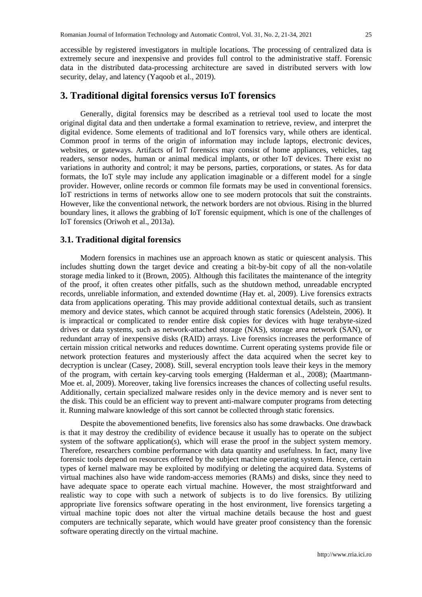accessible by registered investigators in multiple locations. The processing of centralized data is extremely secure and inexpensive and provides full control to the administrative staff. Forensic data in the distributed data-processing architecture are saved in distributed servers with low security, delay, and latency (Yaqoob et al., 2019).

## **3. Traditional digital forensics versus IoT forensics**

Generally, digital forensics may be described as a retrieval tool used to locate the most original digital data and then undertake a formal examination to retrieve, review, and interpret the digital evidence. Some elements of traditional and IoT forensics vary, while others are identical. Common proof in terms of the origin of information may include laptops, electronic devices, websites, or gateways. Artifacts of IoT forensics may consist of home appliances, vehicles, tag readers, sensor nodes, human or animal medical implants, or other IoT devices. There exist no variations in authority and control; it may be persons, parties, corporations, or states. As for data formats, the IoT style may include any application imaginable or a different model for a single provider. However, online records or common file formats may be used in conventional forensics. IoT restrictions in terms of networks allow one to see modern protocols that suit the constraints. However, like the conventional network, the network borders are not obvious. Rising in the blurred boundary lines, it allows the grabbing of IoT forensic equipment, which is one of the challenges of IoT forensics (Oriwoh et al., 2013a).

#### **3.1. Traditional digital forensics**

Modern forensics in machines use an approach known as static or quiescent analysis. This includes shutting down the target device and creating a bit-by-bit copy of all the non-volatile storage media linked to it (Brown, 2005). Although this facilitates the maintenance of the integrity of the proof, it often creates other pitfalls, such as the shutdown method, unreadable encrypted records, unreliable information, and extended downtime (Hay et. al, 2009). Live forensics extracts data from applications operating. This may provide additional contextual details, such as transient memory and device states, which cannot be acquired through static forensics (Adelstein, 2006). It is impractical or complicated to render entire disk copies for devices with huge terabyte-sized drives or data systems, such as network-attached storage (NAS), storage area network (SAN), or redundant array of inexpensive disks (RAID) arrays. Live forensics increases the performance of certain mission critical networks and reduces downtime. Current operating systems provide file or network protection features and mysteriously affect the data acquired when the secret key to decryption is unclear (Casey, 2008). Still, several encryption tools leave their keys in the memory of the program, with certain key-carving tools emerging (Halderman et al., 2008); (Maartmann-Moe et. al, 2009). Moreover, taking live forensics increases the chances of collecting useful results. Additionally, certain specialized malware resides only in the device memory and is never sent to the disk. This could be an efficient way to prevent anti-malware computer programs from detecting it. Running malware knowledge of this sort cannot be collected through static forensics.

Despite the abovementioned benefits, live forensics also has some drawbacks. One drawback is that it may destroy the credibility of evidence because it usually has to operate on the subject system of the software application(s), which will erase the proof in the subject system memory. Therefore, researchers combine performance with data quantity and usefulness. In fact, many live forensic tools depend on resources offered by the subject machine operating system. Hence, certain types of kernel malware may be exploited by modifying or deleting the acquired data. Systems of virtual machines also have wide random-access memories (RAMs) and disks, since they need to have adequate space to operate each virtual machine. However, the most straightforward and realistic way to cope with such a network of subjects is to do live forensics. By utilizing appropriate live forensics software operating in the host environment, live forensics targeting a virtual machine topic does not alter the virtual machine details because the host and guest computers are technically separate, which would have greater proof consistency than the forensic software operating directly on the virtual machine.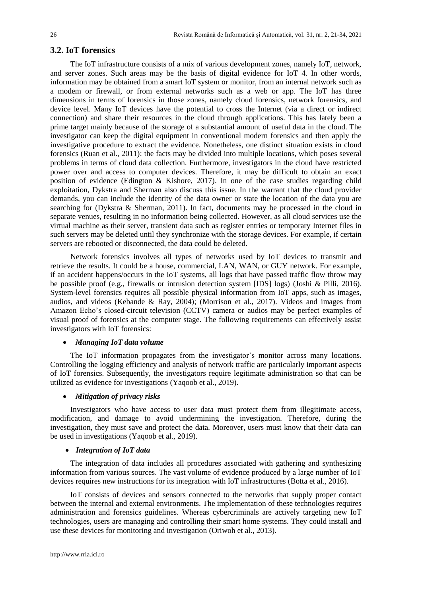#### **3.2. IoT forensics**

The IoT infrastructure consists of a mix of various development zones, namely IoT, network, and server zones. Such areas may be the basis of digital evidence for IoT 4. In other words, information may be obtained from a smart IoT system or monitor, from an internal network such as a modem or firewall, or from external networks such as a web or app. The IoT has three dimensions in terms of forensics in those zones, namely cloud forensics, network forensics, and device level. Many IoT devices have the potential to cross the Internet (via a direct or indirect connection) and share their resources in the cloud through applications. This has lately been a prime target mainly because of the storage of a substantial amount of useful data in the cloud. The investigator can keep the digital equipment in conventional modern forensics and then apply the investigative procedure to extract the evidence. Nonetheless, one distinct situation exists in cloud forensics (Ruan et al., 2011): the facts may be divided into multiple locations, which poses several problems in terms of cloud data collection. Furthermore, investigators in the cloud have restricted power over and access to computer devices. Therefore, it may be difficult to obtain an exact position of evidence (Edington & Kishore, 2017). In one of the case studies regarding child exploitation, Dykstra and Sherman also discuss this issue. In the warrant that the cloud provider demands, you can include the identity of the data owner or state the location of the data you are searching for (Dykstra & Sherman, 2011). In fact, documents may be processed in the cloud in separate venues, resulting in no information being collected. However, as all cloud services use the virtual machine as their server, transient data such as register entries or temporary Internet files in such servers may be deleted until they synchronize with the storage devices. For example, if certain servers are rebooted or disconnected, the data could be deleted.

Network forensics involves all types of networks used by IoT devices to transmit and retrieve the results. It could be a house, commercial, LAN, WAN, or GUY network. For example, if an accident happens/occurs in the IoT systems, all logs that have passed traffic flow throw may be possible proof (e.g., firewalls or intrusion detection system [IDS] logs) (Joshi & Pilli, 2016). System-level forensics requires all possible physical information from IoT apps, such as images, audios, and videos (Kebande & Ray, 2004); (Morrison et al., 2017). Videos and images from Amazon Echo's closed-circuit television (CCTV) camera or audios may be perfect examples of visual proof of forensics at the computer stage. The following requirements can effectively assist investigators with IoT forensics:

#### • *Managing IoT data volume*

The IoT information propagates from the investigator's monitor across many locations. Controlling the logging efficiency and analysis of network traffic are particularly important aspects of IoT forensics. Subsequently, the investigators require legitimate administration so that can be utilized as evidence for investigations (Yaqoob et al., 2019).

#### • *Mitigation of privacy risks*

Investigators who have access to user data must protect them from illegitimate access, modification, and damage to avoid undermining the investigation. Therefore, during the investigation, they must save and protect the data. Moreover, users must know that their data can be used in investigations (Yaqoob et al., 2019).

#### • *Integration of IoT data*

The integration of data includes all procedures associated with gathering and synthesizing information from various sources. The vast volume of evidence produced by a large number of IoT devices requires new instructions for its integration with IoT infrastructures (Botta et al., 2016).

IoT consists of devices and sensors connected to the networks that supply proper contact between the internal and external environments. The implementation of these technologies requires administration and forensics guidelines. Whereas cybercriminals are actively targeting new IoT technologies, users are managing and controlling their smart home systems. They could install and use these devices for monitoring and investigation (Oriwoh et al., 2013).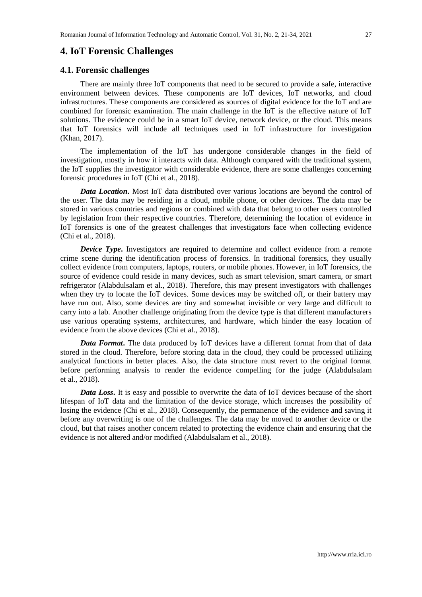#### **4.1. Forensic challenges**

There are mainly three IoT components that need to be secured to provide a safe, interactive environment between devices. These components are IoT devices, IoT networks, and cloud infrastructures. These components are considered as sources of digital evidence for the IoT and are combined for forensic examination. The main challenge in the IoT is the effective nature of IoT solutions. The evidence could be in a smart IoT device, network device, or the cloud. This means that IoT forensics will include all techniques used in IoT infrastructure for investigation (Khan, 2017).

The implementation of the IoT has undergone considerable changes in the field of investigation, mostly in how it interacts with data. Although compared with the traditional system, the IoT supplies the investigator with considerable evidence, there are some challenges concerning forensic procedures in IoT (Chi et al., 2018).

*Data Location***.** Most IoT data distributed over various locations are beyond the control of the user. The data may be residing in a cloud, mobile phone, or other devices. The data may be stored in various countries and regions or combined with data that belong to other users controlled by legislation from their respective countries. Therefore, determining the location of evidence in IoT forensics is one of the greatest challenges that investigators face when collecting evidence (Chi et al., 2018).

*Device Type*. Investigators are required to determine and collect evidence from a remote crime scene during the identification process of forensics. In traditional forensics, they usually collect evidence from computers, laptops, routers, or mobile phones. However, in IoT forensics, the source of evidence could reside in many devices, such as smart television, smart camera, or smart refrigerator (Alabdulsalam et al., 2018). Therefore, this may present investigators with challenges when they try to locate the IoT devices. Some devices may be switched off, or their battery may have run out. Also, some devices are tiny and somewhat invisible or very large and difficult to carry into a lab. Another challenge originating from the device type is that different manufacturers use various operating systems, architectures, and hardware, which hinder the easy location of evidence from the above devices (Chi et al., 2018).

*Data Format***.** The data produced by IoT devices have a different format from that of data stored in the cloud. Therefore, before storing data in the cloud, they could be processed utilizing analytical functions in better places. Also, the data structure must revert to the original format before performing analysis to render the evidence compelling for the judge (Alabdulsalam et al., 2018).

*Data Loss***.** It is easy and possible to overwrite the data of IoT devices because of the short lifespan of IoT data and the limitation of the device storage, which increases the possibility of losing the evidence (Chi et al., 2018). Consequently, the permanence of the evidence and saving it before any overwriting is one of the challenges. The data may be moved to another device or the cloud, but that raises another concern related to protecting the evidence chain and ensuring that the evidence is not altered and/or modified (Alabdulsalam et al., 2018).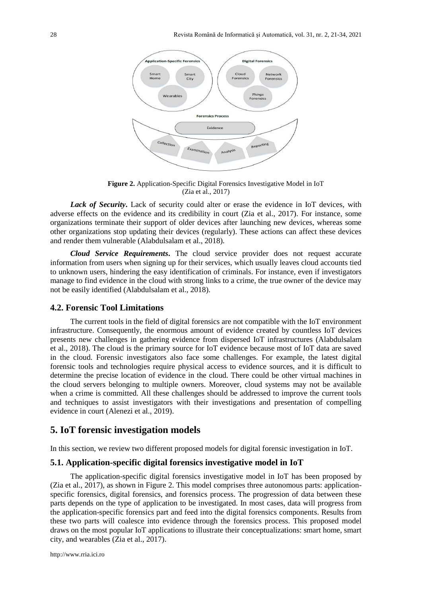

**Figure 2.** Application-Specific Digital Forensics Investigative Model in IoT (Zia et al., 2017)

*Lack of Security***.** Lack of security could alter or erase the evidence in IoT devices, with adverse effects on the evidence and its credibility in court (Zia et al., 2017). For instance, some organizations terminate their support of older devices after launching new devices, whereas some other organizations stop updating their devices (regularly). These actions can affect these devices and render them vulnerable (Alabdulsalam et al., 2018).

*Cloud Service Requirements***.** The cloud service provider does not request accurate information from users when signing up for their services, which usually leaves cloud accounts tied to unknown users, hindering the easy identification of criminals. For instance, even if investigators manage to find evidence in the cloud with strong links to a crime, the true owner of the device may not be easily identified (Alabdulsalam et al., 2018).

## **4.2. Forensic Tool Limitations**

The current tools in the field of digital forensics are not compatible with the IoT environment infrastructure. Consequently, the enormous amount of evidence created by countless IoT devices presents new challenges in gathering evidence from dispersed IoT infrastructures (Alabdulsalam et al., 2018). The cloud is the primary source for IoT evidence because most of IoT data are saved in the cloud. Forensic investigators also face some challenges. For example, the latest digital forensic tools and technologies require physical access to evidence sources, and it is difficult to determine the precise location of evidence in the cloud. There could be other virtual machines in the cloud servers belonging to multiple owners. Moreover, cloud systems may not be available when a crime is committed. All these challenges should be addressed to improve the current tools and techniques to assist investigators with their investigations and presentation of compelling evidence in court (Alenezi et al., 2019).

### **5. IoT forensic investigation models**

In this section, we review two different proposed models for digital forensic investigation in IoT.

#### **5.1. Application-specific digital forensics investigative model in IoT**

The application-specific digital forensics investigative model in IoT has been proposed by (Zia et al., 2017), as shown in Figure 2. This model comprises three autonomous parts: applicationspecific forensics, digital forensics, and forensics process. The progression of data between these parts depends on the type of application to be investigated. In most cases, data will progress from the application-specific forensics part and feed into the digital forensics components. Results from these two parts will coalesce into evidence through the forensics process. This proposed model draws on the most popular IoT applications to illustrate their conceptualizations: smart home, smart city, and wearables (Zia et al., 2017).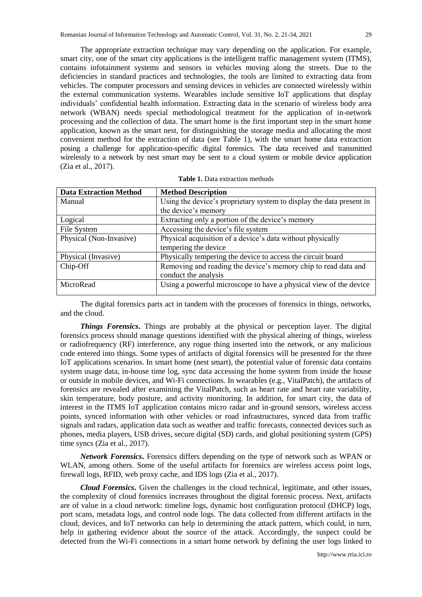The appropriate extraction technique may vary depending on the application. For example, smart city, one of the smart city applications is the intelligent traffic management system (ITMS), contains infotainment systems and sensors in vehicles moving along the streets. Due to the deficiencies in standard practices and technologies, the tools are limited to extracting data from vehicles. The computer processors and sensing devices in vehicles are connected wirelessly within the external communication systems. Wearables include sensitive IoT applications that display individuals' confidential health information. Extracting data in the scenario of wireless body area network (WBAN) needs special methodological treatment for the application of in-network processing and the collection of data. The smart home is the first important step in the smart home application, known as the smart nest, for distinguishing the storage media and allocating the most convenient method for the extraction of data (see Table 1), with the smart home data extraction posing a challenge for application-specific digital forensics. The data received and transmitted wirelessly to a network by nest smart may be sent to a cloud system or mobile device application (Zia et al., 2017).

| <b>Data Extraction Method</b> | <b>Method Description</b>                                            |
|-------------------------------|----------------------------------------------------------------------|
| Manual                        | Using the device's proprietary system to display the data present in |
|                               | the device's memory                                                  |
| Logical                       | Extracting only a portion of the device's memory                     |
| File System                   | Accessing the device's file system                                   |
| Physical (Non-Invasive)       | Physical acquisition of a device's data without physically           |
|                               | tempering the device                                                 |
| Physical (Invasive)           | Physically tempering the device to access the circuit board          |
| Chip-Off                      | Removing and reading the device's memory chip to read data and       |
|                               | conduct the analysis                                                 |
| MicroRead                     | Using a powerful microscope to have a physical view of the device    |
|                               |                                                                      |

The digital forensics parts act in tandem with the processes of forensics in things, networks, and the cloud.

*Things Forensics***.** Things are probably at the physical or perception layer. The digital forensics process should manage questions identified with the physical altering of things, wireless or radiofrequency (RF) interference, any rogue thing inserted into the network, or any malicious code entered into things. Some types of artifacts of digital forensics will be presented for the three IoT applications scenarios. In smart home (nest smart), the potential value of forensic data contains system usage data, in-house time log, sync data accessing the home system from inside the house or outside in mobile devices, and Wi-Fi connections. In wearables (e.g., VitalPatch), the artifacts of forensics are revealed after examining the VitalPatch, such as heart rate and heart rate variability, skin temperature, body posture, and activity monitoring. In addition, for smart city, the data of interest in the ITMS IoT application contains micro radar and in-ground sensors, wireless access points, synced information with other vehicles or road infrastructures, synced data from traffic signals and radars, application data such as weather and traffic forecasts, connected devices such as phones, media players, USB drives, secure digital (SD) cards, and global positioning system (GPS) time syncs (Zia et al., 2017).

*Network Forensics***.** Forensics differs depending on the type of network such as WPAN or WLAN, among others. Some of the useful artifacts for forensics are wireless access point logs, firewall logs, RFID, web proxy cache, and IDS logs (Zia et al., 2017).

*Cloud Forensics***.** Given the challenges in the cloud technical, legitimate, and other issues, the complexity of cloud forensics increases throughout the digital forensic process. Next, artifacts are of value in a cloud network: timeline logs, dynamic host configuration protocol (DHCP) logs, port scans, metadata logs, and control node logs. The data collected from different artifacts in the cloud, devices, and IoT networks can help in determining the attack pattern, which could, in turn, help in gathering evidence about the source of the attack. Accordingly, the suspect could be detected from the Wi-Fi connections in a smart home network by defining the user logs linked to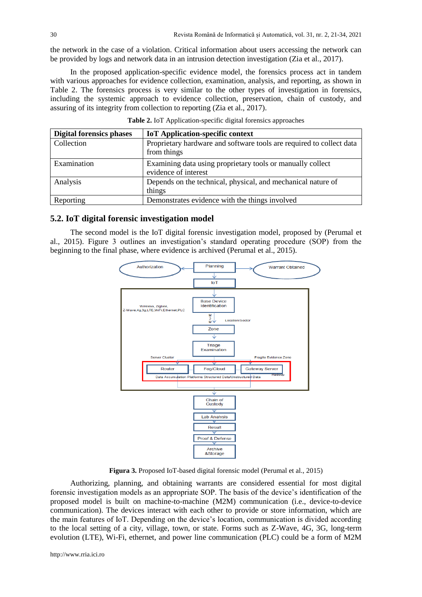the network in the case of a violation. Critical information about users accessing the network can be provided by logs and network data in an intrusion detection investigation (Zia et al., 2017).

In the proposed application-specific evidence model, the forensics process act in tandem with various approaches for evidence collection, examination, analysis, and reporting, as shown in Table 2. The forensics process is very similar to the other types of investigation in forensics, including the systemic approach to evidence collection, preservation, chain of custody, and assuring of its integrity from collection to reporting (Zia et al., 2017).

| <b>Digital forensics phases</b> | <b>IoT</b> Application-specific context                                             |
|---------------------------------|-------------------------------------------------------------------------------------|
| Collection                      | Proprietary hardware and software tools are required to collect data<br>from things |
| Examination                     | Examining data using proprietary tools or manually collect<br>evidence of interest  |
| Analysis                        | Depends on the technical, physical, and mechanical nature of<br>things              |
| Reporting                       | Demonstrates evidence with the things involved                                      |

**Table 2.** IoT Application-specific digital forensics approaches

#### **5.2. IoT digital forensic investigation model**

The second model is the IoT digital forensic investigation model, proposed by (Perumal et al., 2015). Figure 3 outlines an investigation's standard operating procedure (SOP) from the beginning to the final phase, where evidence is archived (Perumal et al., 2015).



**Figura 3.** Proposed IoT-based digital forensic model (Perumal et al., 2015)

Authorizing, planning, and obtaining warrants are considered essential for most digital forensic investigation models as an appropriate SOP. The basis of the device's identification of the proposed model is built on machine-to-machine (M2M) communication (i.e., device-to-device communication). The devices interact with each other to provide or store information, which are the main features of IoT. Depending on the device's location, communication is divided according to the local setting of a city, village, town, or state. Forms such as Z-Wave, 4G, 3G, long-term evolution (LTE), Wi-Fi, ethernet, and power line communication (PLC) could be a form of M2M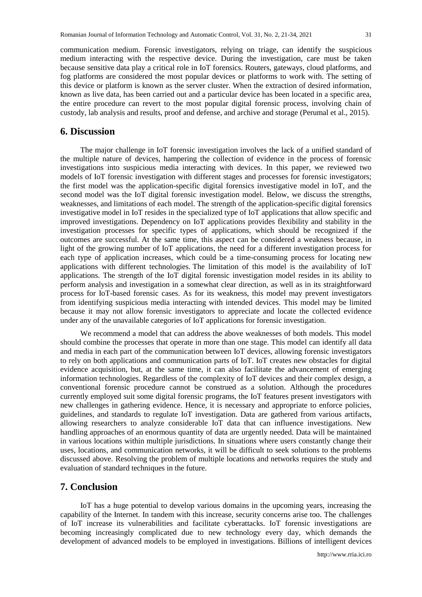communication medium. Forensic investigators, relying on triage, can identify the suspicious medium interacting with the respective device. During the investigation, care must be taken because sensitive data play a critical role in IoT forensics. Routers, gateways, cloud platforms, and fog platforms are considered the most popular devices or platforms to work with. The setting of this device or platform is known as the server cluster. When the extraction of desired information, known as live data, has been carried out and a particular device has been located in a specific area, the entire procedure can revert to the most popular digital forensic process, involving chain of custody, lab analysis and results, proof and defense, and archive and storage (Perumal et al., 2015).

## **6. Discussion**

The major challenge in IoT forensic investigation involves the lack of a unified standard of the multiple nature of devices, hampering the collection of evidence in the process of forensic investigations into suspicious media interacting with devices. In this paper, we reviewed two models of IoT forensic investigation with different stages and processes for forensic investigators; the first model was the application-specific digital forensics investigative model in IoT, and the second model was the IoT digital forensic investigation model. Below, we discuss the strengths, weaknesses, and limitations of each model. The strength of the application-specific digital forensics investigative model in IoT resides in the specialized type of IoT applications that allow specific and improved investigations. Dependency on IoT applications provides flexibility and stability in the investigation processes for specific types of applications, which should be recognized if the outcomes are successful. At the same time, this aspect can be considered a weakness because, in light of the growing number of IoT applications, the need for a different investigation process for each type of application increases, which could be a time-consuming process for locating new applications with different technologies. The limitation of this model is the availability of IoT applications. The strength of the IoT digital forensic investigation model resides in its ability to perform analysis and investigation in a somewhat clear direction, as well as in its straightforward process for IoT-based forensic cases. As for its weakness, this model may prevent investigators from identifying suspicious media interacting with intended devices. This model may be limited because it may not allow forensic investigators to appreciate and locate the collected evidence under any of the unavailable categories of IoT applications for forensic investigation.

We recommend a model that can address the above weaknesses of both models. This model should combine the processes that operate in more than one stage. This model can identify all data and media in each part of the communication between IoT devices, allowing forensic investigators to rely on both applications and communication parts of IoT. IoT creates new obstacles for digital evidence acquisition, but, at the same time, it can also facilitate the advancement of emerging information technologies. Regardless of the complexity of IoT devices and their complex design, a conventional forensic procedure cannot be construed as a solution. Although the procedures currently employed suit some digital forensic programs, the IoT features present investigators with new challenges in gathering evidence. Hence, it is necessary and appropriate to enforce policies, guidelines, and standards to regulate IoT investigation. Data are gathered from various artifacts, allowing researchers to analyze considerable IoT data that can influence investigations. New handling approaches of an enormous quantity of data are urgently needed. Data will be maintained in various locations within multiple jurisdictions. In situations where users constantly change their uses, locations, and communication networks, it will be difficult to seek solutions to the problems discussed above. Resolving the problem of multiple locations and networks requires the study and evaluation of standard techniques in the future.

# **7. Conclusion**

IoT has a huge potential to develop various domains in the upcoming years, increasing the capability of the Internet. In tandem with this increase, security concerns arise too. The challenges of IoT increase its vulnerabilities and facilitate cyberattacks. IoT forensic investigations are becoming increasingly complicated due to new technology every day, which demands the development of advanced models to be employed in investigations. Billions of intelligent devices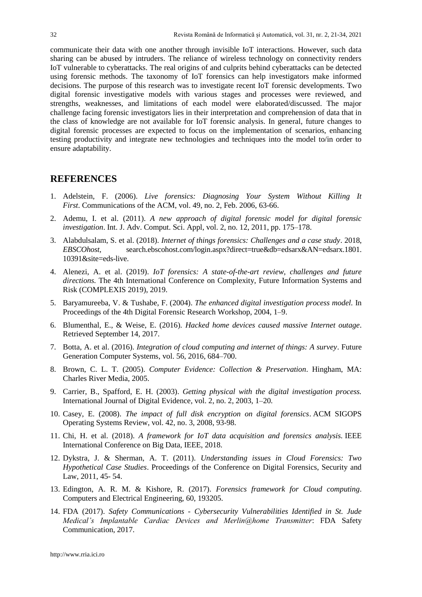communicate their data with one another through invisible IoT interactions. However, such data sharing can be abused by intruders. The reliance of wireless technology on connectivity renders IoT vulnerable to cyberattacks. The real origins of and culprits behind cyberattacks can be detected using forensic methods. The taxonomy of IoT forensics can help investigators make informed decisions. The purpose of this research was to investigate recent IoT forensic developments. Two digital forensic investigative models with various stages and processes were reviewed, and strengths, weaknesses, and limitations of each model were elaborated/discussed. The major challenge facing forensic investigators lies in their interpretation and comprehension of data that in the class of knowledge are not available for IoT forensic analysis. In general, future changes to digital forensic processes are expected to focus on the implementation of scenarios, enhancing testing productivity and integrate new technologies and techniques into the model to/in order to ensure adaptability.

# **REFERENCES**

- 1. Adelstein, F. (2006). *Live forensics: Diagnosing Your System Without Killing It First*. Communications of the ACM, vol. 49, no. 2, Feb. 2006, 63-66.
- 2. Ademu, I. et al. (2011). *A new approach of digital forensic model for digital forensic investigation*. Int. J. Adv. Comput. Sci. Appl, vol. 2, no. 12, 2011, pp. 175–178.
- 3. Alabdulsalam, S. et al. (2018). *Internet of things forensics: Challenges and a case study*. 2018, *EBSCOhost*, search.ebscohost.com/login.aspx?direct=true&db=edsarx&AN=edsarx.1801. 10391&site=eds-live.
- 4. Alenezi, A. et al. (2019). *IoT forensics: A state-of-the-art review, challenges and future directions.* The 4th International Conference on Complexity, Future Information Systems and Risk (COMPLEXIS 2019), 2019.
- 5. Baryamureeba, V. & Tushabe, F. (2004). *The enhanced digital investigation process model.* In Proceedings of the 4th Digital Forensic Research Workshop, 2004, 1–9.
- 6. Blumenthal, E., & Weise, E. (2016). *Hacked home devices caused massive Internet outage*. Retrieved September 14, 2017.
- 7. Botta, A. et al. (2016). *Integration of cloud computing and internet of things: A survey*. Future Generation Computer Systems, vol. 56, 2016, 684–700.
- 8. Brown, C. L. T. (2005). *Computer Evidence: Collection & Preservation*. Hingham, MA: Charles River Media, 2005.
- 9. Carrier, B., Spafford, E. H. (2003). *Getting physical with the digital investigation process.* International Journal of Digital Evidence, vol. 2, no. 2, 2003, 1–20.
- 10. Casey, E. (2008). *The impact of full disk encryption on digital forensics*. ACM SIGOPS Operating Systems Review, vol. 42, no. 3, 2008, 93-98.
- 11. Chi, H. et al. (2018). *A framework for IoT data acquisition and forensics analysis.* IEEE International Conference on Big Data, IEEE, 2018.
- 12. Dykstra, J. & Sherman, A. T. (2011). *Understanding issues in Cloud Forensics: Two Hypothetical Case Studies*. Proceedings of the Conference on Digital Forensics, Security and Law, 2011, 45- 54.
- 13. Edington, A. R. M. & Kishore, R. (2017). *Forensics framework for Cloud computing*. Computers and Electrical Engineering, 60, 193205.
- 14. FDA (2017). *Safety Communications - Cybersecurity Vulnerabilities Identified in St. Jude Medical's Implantable Cardiac Devices and Merlin@home Transmitter*: FDA Safety Communication, 2017.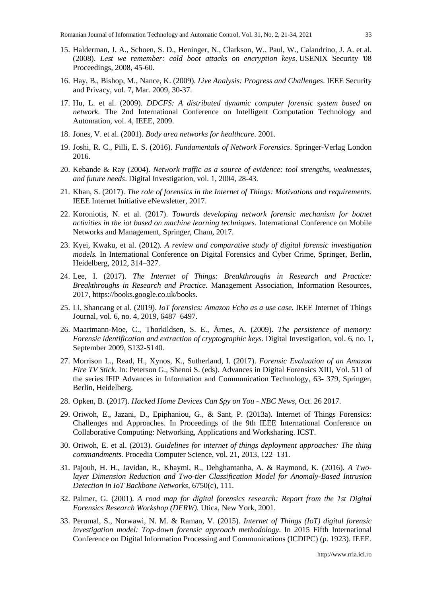- 15. Halderman, J. A., Schoen, S. D., Heninger, N., Clarkson, W., Paul, W., Calandrino, J. A. et al. (2008). *Lest we remember: cold boot attacks on encryption keys*. USENIX Security '08 Proceedings, 2008, 45-60.
- 16. Hay, B., Bishop, M., Nance, K. (2009). *Live Analysis: Progress and Challenges*. IEEE Security and Privacy, vol. 7, Mar. 2009, 30-37.
- 17. Hu, L. et al. (2009). *DDCFS: A distributed dynamic computer forensic system based on network.* The 2nd International Conference on Intelligent Computation Technology and Automation, vol. 4, IEEE, 2009.
- 18. Jones, V. et al. (2001). *Body area networks for healthcare*. 2001.
- 19. Joshi, R. C., Pilli, E. S. (2016). *Fundamentals of Network Forensics*. Springer-Verlag London 2016.
- 20. Kebande & Ray (2004). *Network traffic as a source of evidence: tool strengths, weaknesses, and future needs*. Digital Investigation, vol. 1, 2004, 28-43.
- 21. Khan, S. (2017). *The role of forensics in the Internet of Things: Motivations and requirements.* IEEE Internet Initiative eNewsletter, 2017.
- 22. Koroniotis, N. et al. (2017). *Towards developing network forensic mechanism for botnet activities in the iot based on machine learning techniques.* International Conference on Mobile Networks and Management, Springer, Cham, 2017.
- 23. Kyei, Kwaku, et al. (2012). *A review and comparative study of digital forensic investigation models.* In International Conference on Digital Forensics and Cyber Crime, Springer, Berlin, Heidelberg, 2012, 314–327.
- 24. Lee, I. (2017). *The Internet of Things: Breakthroughs in Research and Practice: Breakthroughs in Research and Practice.* Management Association, Information Resources, 2017, https://books.google.co.uk/books.
- 25. Li, Shancang et al. (2019). *IoT forensics: Amazon Echo as a use case.* IEEE Internet of Things Journal, vol. 6, no. 4, 2019, 6487–6497.
- 26. Maartmann-Moe, C., Thorkildsen, S. E., Årnes, A. (2009). *The persistence of memory: Forensic identification and extraction of cryptographic keys*. Digital Investigation, vol. 6, no. 1, September 2009, S132-S140.
- 27. Morrison L., Read, H., Xynos, K., Sutherland, I. (2017). *Forensic Evaluation of an Amazon Fire TV Stick*. In: Peterson G., Shenoi S. (eds). Advances in Digital Forensics XIII, Vol. 511 of the series IFIP Advances in Information and Communication Technology, 63- 379, Springer, Berlin, Heidelberg.
- 28. Opken, B. (2017). *Hacked Home Devices Can Spy on You - NBC News*, Oct. 26 2017.
- 29. Oriwoh, E., Jazani, D., Epiphaniou, G., & Sant, P. (2013a). Internet of Things Forensics: Challenges and Approaches. In Proceedings of the 9th IEEE International Conference on Collaborative Computing: Networking, Applications and Worksharing. ICST.
- 30. Oriwoh, E. et al. (2013). *Guidelines for internet of things deployment approaches: The thing commandments.* Procedia Computer Science, vol. 21, 2013, 122–131.
- 31. Pajouh, H. H., Javidan, R., Khaymi, R., Dehghantanha, A. & Raymond, K. (2016). *A Twolayer Dimension Reduction and Two-tier Classification Model for Anomaly-Based Intrusion Detection in IoT Backbone Networks*, 6750(c), 111.
- 32. Palmer, G. (2001). *A road map for digital forensics research: Report from the 1st Digital Forensics Research Workshop (DFRW).* Utica, New York, 2001.
- 33. Perumal, S., Norwawi, N. M. & Raman, V. (2015). *Internet of Things (IoT) digital forensic investigation model: Top-down forensic approach methodology*. In 2015 Fifth International Conference on Digital Information Processing and Communications (ICDIPC) (p. 1923). IEEE.